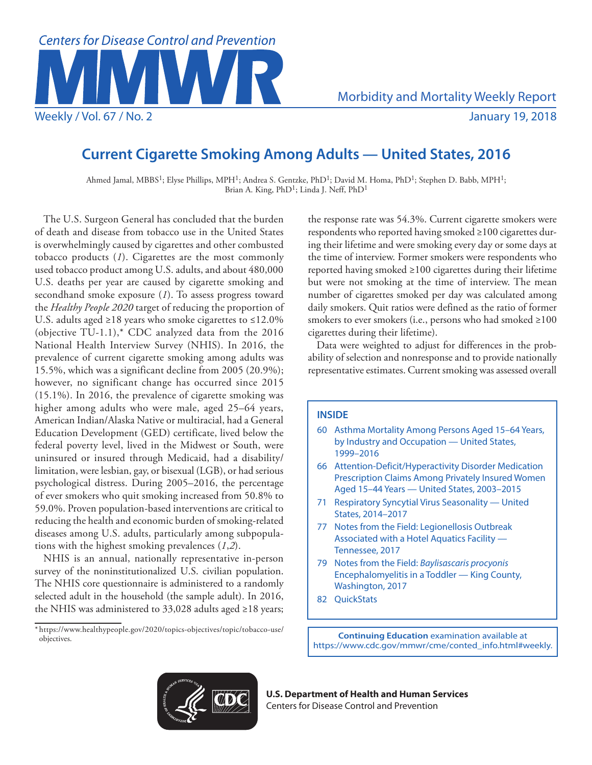

# **Current Cigarette Smoking Among Adults — United States, 2016**

Ahmed Jamal, MBBS1; Elyse Phillips, MPH1; Andrea S. Gentzke, PhD1; David M. Homa, PhD1; Stephen D. Babb, MPH1; Brian A. King, PhD<sup>1</sup>; Linda J. Neff, PhD<sup>1</sup>

The U.S. Surgeon General has concluded that the burden of death and disease from tobacco use in the United States is overwhelmingly caused by cigarettes and other combusted tobacco products (*1*). Cigarettes are the most commonly used tobacco product among U.S. adults, and about 480,000 U.S. deaths per year are caused by cigarette smoking and secondhand smoke exposure (*1*). To assess progress toward the *Healthy People 2020* target of reducing the proportion of U.S. adults aged ≥18 years who smoke cigarettes to ≤12.0% (objective TU-1.1),\* CDC analyzed data from the 2016 National Health Interview Survey (NHIS). In 2016, the prevalence of current cigarette smoking among adults was 15.5%, which was a significant decline from 2005 (20.9%); however, no significant change has occurred since 2015 (15.1%). In 2016, the prevalence of cigarette smoking was higher among adults who were male, aged 25–64 years, American Indian/Alaska Native or multiracial, had a General Education Development (GED) certificate, lived below the federal poverty level, lived in the Midwest or South, were uninsured or insured through Medicaid, had a disability/ limitation, were lesbian, gay, or bisexual (LGB), or had serious psychological distress. During 2005–2016, the percentage of ever smokers who quit smoking increased from 50.8% to 59.0%. Proven population-based interventions are critical to reducing the health and economic burden of smoking-related diseases among U.S. adults, particularly among subpopulations with the highest smoking prevalences (*1*,*2*).

NHIS is an annual, nationally representative in-person survey of the noninstitutionalized U.S. civilian population. The NHIS core questionnaire is administered to a randomly selected adult in the household (the sample adult). In 2016, the NHIS was administered to 33,028 adults aged ≥18 years;

the response rate was 54.3%. Current cigarette smokers were respondents who reported having smoked ≥100 cigarettes during their lifetime and were smoking every day or some days at the time of interview. Former smokers were respondents who reported having smoked ≥100 cigarettes during their lifetime but were not smoking at the time of interview. The mean number of cigarettes smoked per day was calculated among daily smokers. Quit ratios were defined as the ratio of former smokers to ever smokers (i.e., persons who had smoked ≥100 cigarettes during their lifetime).

Data were weighted to adjust for differences in the probability of selection and nonresponse and to provide nationally representative estimates. Current smoking was assessed overall

# **INSIDE**

- 60 Asthma Mortality Among Persons Aged 15–64 Years, by Industry and Occupation — United States, 1999–2016
- 66 Attention-Deficit/Hyperactivity Disorder Medication Prescription Claims Among Privately Insured Women Aged 15–44 Years — United States, 2003–2015
- 71 Respiratory Syncytial Virus Seasonality United States, 2014–2017
- 77 Notes from the Field: Legionellosis Outbreak Associated with a Hotel Aquatics Facility — Tennessee, 2017
- 79 Notes from the Field: *Baylisascaris procyonis* Encephalomyelitis in a Toddler — King County, Washington, 2017
- 82 QuickStats

**Continuing Education** examination available at [https://www.cdc.gov/mmwr/cme/conted\\_info.html#weekly](https://www.cdc.gov/mmwr/cme/conted_info.html#weekly).



**U.S. Department of Health and Human Services** Centers for Disease Control and Prevention

<sup>\*</sup> [https://www.healthypeople.gov/2020/topics-objectives/topic/tobacco-use/](https://www.healthypeople.gov/2020/topics-objectives/topic/tobacco-use/objectives) [objectives](https://www.healthypeople.gov/2020/topics-objectives/topic/tobacco-use/objectives).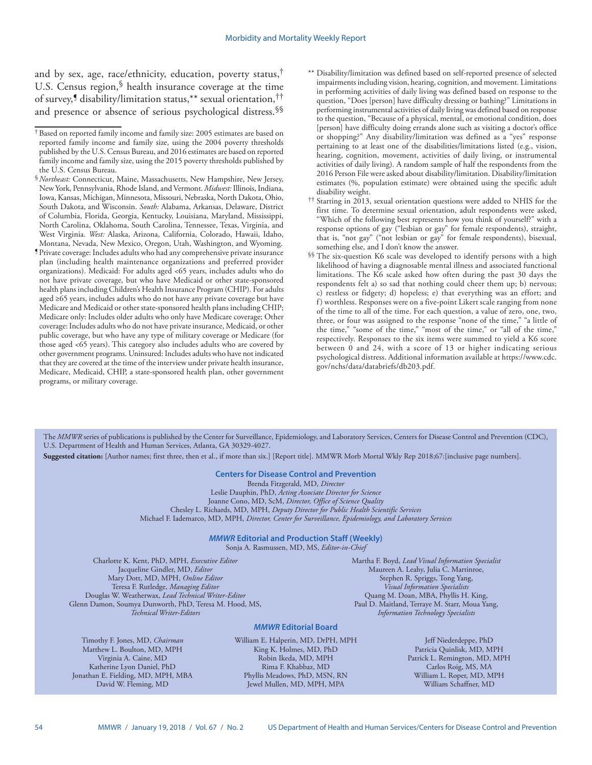and by sex, age, race/ethnicity, education, poverty status,† U.S. Census region,§ health insurance coverage at the time of survey,¶ disability/limitation status,\*\* sexual orientation,†† and presence or absence of serious psychological distress.<sup>§§</sup>

- §*Northeast:* Connecticut, Maine, Massachusetts, New Hampshire, New Jersey, New York, Pennsylvania, Rhode Island, and Vermont. *Midwest:* Illinois, Indiana, Iowa, Kansas, Michigan, Minnesota, Missouri, Nebraska, North Dakota, Ohio, South Dakota, and Wisconsin. *South:* Alabama, Arkansas, Delaware, District of Columbia, Florida, Georgia, Kentucky, Louisiana, Maryland, Mississippi, North Carolina, Oklahoma, South Carolina, Tennessee, Texas, Virginia, and West Virginia. *West:* Alaska, Arizona, California, Colorado, Hawaii, Idaho, Montana, Nevada, New Mexico, Oregon, Utah, Washington, and Wyoming.
- ¶Private coverage: Includes adults who had any comprehensive private insurance plan (including health maintenance organizations and preferred provider organizations). Medicaid: For adults aged <65 years, includes adults who do not have private coverage, but who have Medicaid or other state-sponsored health plans including Children's Health Insurance Program (CHIP). For adults aged ≥65 years, includes adults who do not have any private coverage but have Medicare and Medicaid or other state-sponsored health plans including CHIP; Medicare only: Includes older adults who only have Medicare coverage; Other coverage: Includes adults who do not have private insurance, Medicaid, or other public coverage, but who have any type of military coverage or Medicare (for those aged <65 years). This category also includes adults who are covered by other government programs. Uninsured: Includes adults who have not indicated that they are covered at the time of the interview under private health insurance, Medicare, Medicaid, CHIP, a state-sponsored health plan, other government programs, or military coverage.
- \*\* Disability/limitation was defined based on self-reported presence of selected impairments including vision, hearing, cognition, and movement. Limitations in performing activities of daily living was defined based on response to the question, "Does [person] have difficulty dressing or bathing?" Limitations in performing instrumental activities of daily living was defined based on response to the question, "Because of a physical, mental, or emotional condition, does [person] have difficulty doing errands alone such as visiting a doctor's office or shopping?" Any disability/limitation was defined as a "yes" response pertaining to at least one of the disabilities/limitations listed (e.g., vision, hearing, cognition, movement, activities of daily living, or instrumental activities of daily living). A random sample of half the respondents from the 2016 Person File were asked about disability/limitation. Disability/limitation estimates (%, population estimate) were obtained using the specific adult disability weight.
- †† Starting in 2013, sexual orientation questions were added to NHIS for the first time. To determine sexual orientation, adult respondents were asked, "Which of the following best represents how you think of yourself?" with a response options of gay ("lesbian or gay" for female respondents), straight, that is, "not gay" ("not lesbian or gay" for female respondents), bisexual, something else, and I don't know the answer.
- §§ The six-question K6 scale was developed to identify persons with a high likelihood of having a diagnosable mental illness and associated functional limitations. The K6 scale asked how often during the past 30 days the respondents felt a) so sad that nothing could cheer them up; b) nervous; c) restless or fidgety; d) hopeless; e) that everything was an effort; and f) worthless. Responses were on a five-point Likert scale ranging from none of the time to all of the time. For each question, a value of zero, one, two, three, or four was assigned to the response "none of the time," "a little of the time," "some of the time," "most of the time," or "all of the time," respectively. Responses to the six items were summed to yield a K6 score between 0 and 24, with a score of 13 or higher indicating serious psychological distress. Additional information available at [https://www.cdc.](https://www.cdc.gov/nchs/data/databriefs/db203.pdf) [gov/nchs/data/databriefs/db203.pdf.](https://www.cdc.gov/nchs/data/databriefs/db203.pdf)

The *MMWR* series of publications is published by the Center for Surveillance, Epidemiology, and Laboratory Services, Centers for Disease Control and Prevention (CDC), U.S. Department of Health and Human Services, Atlanta, GA 30329-4027.

**Suggested citation:** [Author names; first three, then et al., if more than six.] [Report title]. MMWR Morb Mortal Wkly Rep 2018;67:[inclusive page numbers].

## **Centers for Disease Control and Prevention**

Brenda Fitzgerald, MD, *Director* Leslie Dauphin, PhD, *Acting Associate Director for Science* Joanne Cono, MD, ScM, *Director, Office of Science Quality*  Chesley L. Richards, MD, MPH, *Deputy Director for Public Health Scientific Services* Michael F. Iademarco, MD, MPH, *Director, Center for Surveillance, Epidemiology, and Laboratory Services*

#### *MMWR* **Editorial and Production Staff (Weekly)**

Sonja A. Rasmussen, MD, MS, *Editor-in-Chief* 

Charlotte K. Kent, PhD, MPH, *Executive Editor* Jacqueline Gindler, MD, *Editor* Mary Dott, MD, MPH, *Online Editor* Teresa F. Rutledge, *Managing Editor* Douglas W. Weatherwax, *Lead Technical Writer-Editor* Glenn Damon, Soumya Dunworth, PhD, Teresa M. Hood, MS, *Technical Writer-Editors*

Martha F. Boyd, *Lead Visual Information Specialist* Maureen A. Leahy, Julia C. Martinroe, Stephen R. Spriggs, Tong Yang, *Visual Information Specialists* Quang M. Doan, MBA, Phyllis H. King, Paul D. Maitland, Terraye M. Starr, Moua Yang, *Information Technology Specialists*

# *MMWR* **Editorial Board**

Timothy F. Jones, MD, *Chairman* Matthew L. Boulton, MD, MPH Virginia A. Caine, MD Katherine Lyon Daniel, PhD Jonathan E. Fielding, MD, MPH, MBA David W. Fleming, MD

William E. Halperin, MD, DrPH, MPH King K. Holmes, MD, PhD Robin Ikeda, MD, MPH Rima F. Khabbaz, MD Phyllis Meadows, PhD, MSN, RN Jewel Mullen, MD, MPH, MPA

Jeff Niederdeppe, PhD Patricia Quinlisk, MD, MPH Patrick L. Remington, MD, MPH Carlos Roig, MS, MA William L. Roper, MD, MPH William Schaffner, MD

<sup>†</sup>Based on reported family income and family size: 2005 estimates are based on reported family income and family size, using the 2004 poverty thresholds published by the U.S. Census Bureau, and 2016 estimates are based on reported family income and family size, using the 2015 poverty thresholds published by the U.S. Census Bureau.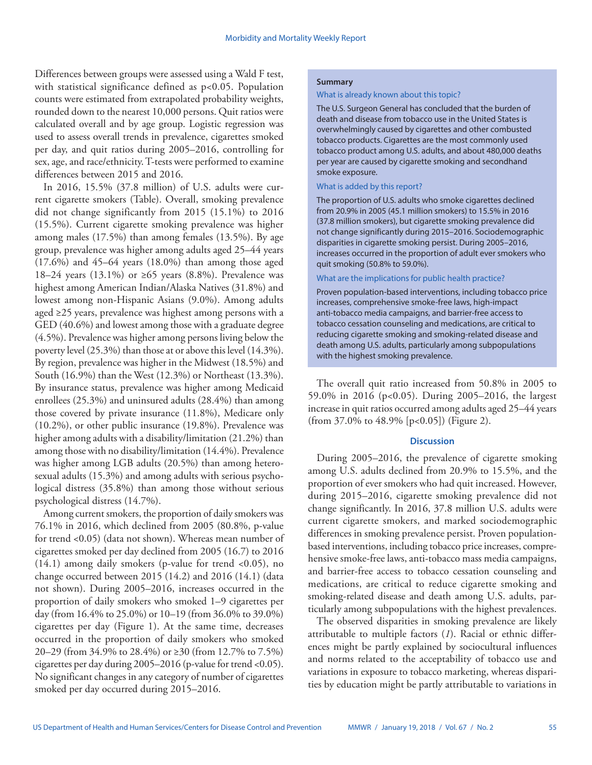Differences between groups were assessed using a Wald F test, with statistical significance defined as  $p<0.05$ . Population counts were estimated from extrapolated probability weights, rounded down to the nearest 10,000 persons. Quit ratios were calculated overall and by age group. Logistic regression was used to assess overall trends in prevalence, cigarettes smoked per day, and quit ratios during 2005–2016, controlling for sex, age, and race/ethnicity. T-tests were performed to examine differences between 2015 and 2016.

In 2016, 15.5% (37.8 million) of U.S. adults were current cigarette smokers (Table). Overall, smoking prevalence did not change significantly from 2015 (15.1%) to 2016 (15.5%). Current cigarette smoking prevalence was higher among males (17.5%) than among females (13.5%). By age group, prevalence was higher among adults aged 25–44 years (17.6%) and 45–64 years (18.0%) than among those aged 18–24 years (13.1%) or ≥65 years (8.8%). Prevalence was highest among American Indian/Alaska Natives (31.8%) and lowest among non-Hispanic Asians (9.0%). Among adults aged ≥25 years, prevalence was highest among persons with a GED (40.6%) and lowest among those with a graduate degree (4.5%). Prevalence was higher among persons living below the poverty level (25.3%) than those at or above this level (14.3%). By region, prevalence was higher in the Midwest (18.5%) and South (16.9%) than the West (12.3%) or Northeast (13.3%). By insurance status, prevalence was higher among Medicaid enrollees (25.3%) and uninsured adults (28.4%) than among those covered by private insurance (11.8%), Medicare only (10.2%), or other public insurance (19.8%). Prevalence was higher among adults with a disability/limitation (21.2%) than among those with no disability/limitation (14.4%). Prevalence was higher among LGB adults (20.5%) than among heterosexual adults (15.3%) and among adults with serious psychological distress (35.8%) than among those without serious psychological distress (14.7%).

Among current smokers, the proportion of daily smokers was 76.1% in 2016, which declined from 2005 (80.8%, p-value for trend <0.05) (data not shown). Whereas mean number of cigarettes smoked per day declined from 2005 (16.7) to 2016 (14.1) among daily smokers (p-value for trend <0.05), no change occurred between 2015 (14.2) and 2016 (14.1) (data not shown). During 2005–2016, increases occurred in the proportion of daily smokers who smoked 1–9 cigarettes per day (from 16.4% to 25.0%) or 10–19 (from 36.0% to 39.0%) cigarettes per day (Figure 1). At the same time, decreases occurred in the proportion of daily smokers who smoked 20–29 (from 34.9% to 28.4%) or ≥30 (from 12.7% to 7.5%) cigarettes per day during 2005–2016 (p-value for trend <0.05). No significant changes in any category of number of cigarettes smoked per day occurred during 2015–2016.

### **Summary**

### What is already known about this topic?

The U.S. Surgeon General has concluded that the burden of death and disease from tobacco use in the United States is overwhelmingly caused by cigarettes and other combusted tobacco products. Cigarettes are the most commonly used tobacco product among U.S. adults, and about 480,000 deaths per year are caused by cigarette smoking and secondhand smoke exposure.

## What is added by this report?

The proportion of U.S. adults who smoke cigarettes declined from 20.9% in 2005 (45.1 million smokers) to 15.5% in 2016 (37.8 million smokers), but cigarette smoking prevalence did not change significantly during 2015–2016. Sociodemographic disparities in cigarette smoking persist. During 2005–2016, increases occurred in the proportion of adult ever smokers who quit smoking (50.8% to 59.0%).

## What are the implications for public health practice?

Proven population-based interventions, including tobacco price increases, comprehensive smoke-free laws, high-impact anti-tobacco media campaigns, and barrier-free access to tobacco cessation counseling and medications, are critical to reducing cigarette smoking and smoking-related disease and death among U.S. adults, particularly among subpopulations with the highest smoking prevalence.

The overall quit ratio increased from 50.8% in 2005 to 59.0% in 2016 (p<0.05). During 2005–2016, the largest increase in quit ratios occurred among adults aged 25–44 years (from 37.0% to 48.9% [p<0.05]) (Figure 2).

## **Discussion**

During 2005–2016, the prevalence of cigarette smoking among U.S. adults declined from 20.9% to 15.5%, and the proportion of ever smokers who had quit increased. However, during 2015–2016, cigarette smoking prevalence did not change significantly. In 2016, 37.8 million U.S. adults were current cigarette smokers, and marked sociodemographic differences in smoking prevalence persist. Proven populationbased interventions, including tobacco price increases, comprehensive smoke-free laws, anti-tobacco mass media campaigns, and barrier-free access to tobacco cessation counseling and medications, are critical to reduce cigarette smoking and smoking-related disease and death among U.S. adults, particularly among subpopulations with the highest prevalences.

The observed disparities in smoking prevalence are likely attributable to multiple factors (*1*). Racial or ethnic differences might be partly explained by sociocultural influences and norms related to the acceptability of tobacco use and variations in exposure to tobacco marketing, whereas disparities by education might be partly attributable to variations in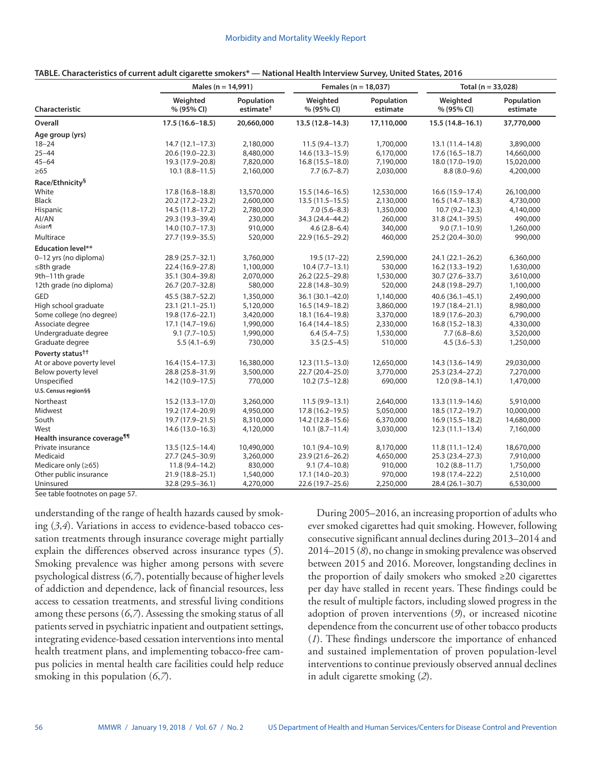| Characteristic                          | Males ( $n = 14,991$ ) |                                     | Females ( $n = 18,037$ ) |                        | Total ( $n = 33,028$ ) |                        |
|-----------------------------------------|------------------------|-------------------------------------|--------------------------|------------------------|------------------------|------------------------|
|                                         | Weighted<br>% (95% CI) | Population<br>estimate <sup>+</sup> | Weighted<br>% (95% CI)   | Population<br>estimate | Weighted<br>% (95% CI) | Population<br>estimate |
| Overall                                 | $17.5(16.6 - 18.5)$    | 20,660,000                          | $13.5(12.8 - 14.3)$      | 17,110,000             | $15.5(14.8 - 16.1)$    | 37,770,000             |
| Age group (yrs)                         |                        |                                     |                          |                        |                        |                        |
| $18 - 24$                               | $14.7(12.1 - 17.3)$    | 2,180,000                           | $11.5(9.4 - 13.7)$       | 1,700,000              | 13.1 (11.4–14.8)       | 3,890,000              |
| $25 - 44$                               | 20.6 (19.0-22.3)       | 8,480,000                           | $14.6(13.3 - 15.9)$      | 6,170,000              | $17.6(16.5 - 18.7)$    | 14,660,000             |
| $45 - 64$                               | 19.3 (17.9-20.8)       | 7,820,000                           | $16.8(15.5 - 18.0)$      | 7,190,000              | 18.0 (17.0-19.0)       | 15,020,000             |
| $\geq 65$                               | $10.1 (8.8 - 11.5)$    | 2,160,000                           | $7.7(6.7-8.7)$           | 2,030,000              | $8.8(8.0-9.6)$         | 4,200,000              |
| Race/Ethnicity <sup>§</sup>             |                        |                                     |                          |                        |                        |                        |
| White                                   | 17.8 (16.8-18.8)       | 13,570,000                          | $15.5(14.6 - 16.5)$      | 12,530,000             | 16.6 (15.9-17.4)       | 26,100,000             |
| <b>Black</b>                            | 20.2 (17.2-23.2)       | 2,600,000                           | $13.5(11.5-15.5)$        | 2,130,000              | $16.5(14.7-18.3)$      | 4,730,000              |
| Hispanic                                | $14.5(11.8-17.2)$      | 2,780,000                           | $7.0(5.6-8.3)$           | 1,350,000              | $10.7(9.2 - 12.3)$     | 4,140,000              |
| AI/AN                                   | 29.3 (19.3-39.4)       | 230,000                             | 34.3 (24.4-44.2)         | 260,000                | 31.8 (24.1-39.5)       | 490,000                |
| Asian                                   | $14.0(10.7-17.3)$      | 910,000                             | $4.6(2.8-6.4)$           | 340,000                | $9.0(7.1-10.9)$        | 1,260,000              |
| Multirace                               | 27.7 (19.9-35.5)       | 520,000                             | 22.9 (16.5-29.2)         | 460,000                | 25.2 (20.4-30.0)       | 990,000                |
| <b>Education level**</b>                |                        |                                     |                          |                        |                        |                        |
| 0-12 yrs (no diploma)                   | 28.9 (25.7-32.1)       | 3,760,000                           | 19.5 (17-22)             | 2,590,000              | 24.1 (22.1-26.2)       | 6,360,000              |
| $\leq$ 8th grade                        | 22.4 (16.9-27.8)       | 1,100,000                           | $10.4(7.7-13.1)$         | 530,000                | $16.2(13.3 - 19.2)$    | 1,630,000              |
| 9th-11th grade                          | 35.1 (30.4-39.8)       | 2,070,000                           | 26.2 (22.5 - 29.8)       | 1,530,000              | 30.7 (27.6-33.7)       | 3,610,000              |
| 12th grade (no diploma)                 | 26.7 (20.7-32.8)       | 580,000                             | 22.8 (14.8-30.9)         | 520,000                | 24.8 (19.8-29.7)       | 1,100,000              |
| GED                                     | 45.5 (38.7-52.2)       | 1,350,000                           | $36.1(30.1 - 42.0)$      | 1,140,000              | $40.6(36.1 - 45.1)$    | 2,490,000              |
| High school graduate                    | $23.1(21.1-25.1)$      | 5,120,000                           | 16.5 (14.9-18.2)         | 3,860,000              | 19.7 (18.4-21.1)       | 8,980,000              |
| Some college (no degree)                | 19.8 (17.6-22.1)       | 3,420,000                           | 18.1 (16.4-19.8)         | 3,370,000              | 18.9 (17.6-20.3)       | 6,790,000              |
| Associate degree                        | 17.1 (14.7–19.6)       | 1,990,000                           | $16.4(14.4 - 18.5)$      | 2,330,000              | $16.8(15.2 - 18.3)$    | 4,330,000              |
| Undergraduate degree                    | $9.1 (7.7 - 10.5)$     | 1,990,000                           | $6.4(5.4 - 7.5)$         | 1,530,000              | $7.7(6.8-8.6)$         | 3,520,000              |
| Graduate degree                         | $5.5(4.1-6.9)$         | 730,000                             | $3.5(2.5-4.5)$           | 510,000                | $4.5(3.6-5.3)$         | 1,250,000              |
| Poverty status <sup>††</sup>            |                        |                                     |                          |                        |                        |                        |
| At or above poverty level               | $16.4(15.4 - 17.3)$    | 16,380,000                          | $12.3(11.5-13.0)$        | 12,650,000             | 14.3 (13.6-14.9)       | 29,030,000             |
| Below poverty level                     | 28.8 (25.8–31.9)       | 3,500,000                           | 22.7 (20.4-25.0)         | 3,770,000              | 25.3 (23.4-27.2)       | 7,270,000              |
| Unspecified                             | 14.2 (10.9-17.5)       | 770,000                             | $10.2(7.5-12.8)$         | 690,000                | $12.0(9.8-14.1)$       | 1,470,000              |
| U.S. Census region§§                    |                        |                                     |                          |                        |                        |                        |
| Northeast                               | $15.2(13.3 - 17.0)$    | 3,260,000                           | $11.5(9.9 - 13.1)$       | 2,640,000              | 13.3 (11.9-14.6)       | 5,910,000              |
| Midwest                                 | 19.2 (17.4-20.9)       | 4,950,000                           | $17.8(16.2 - 19.5)$      | 5,050,000              | 18.5 (17.2-19.7)       | 10,000,000             |
| South                                   | 19.7 (17.9–21.5)       | 8,310,000                           | 14.2 (12.8-15.6)         | 6,370,000              | $16.9(15.5 - 18.2)$    | 14,680,000             |
| West                                    | $14.6(13.0 - 16.3)$    | 4,120,000                           | $10.1 (8.7 - 11.4)$      | 3,030,000              | $12.3(11.1-13.4)$      | 7,160,000              |
| Health insurance coverage <sup>11</sup> |                        |                                     |                          |                        |                        |                        |
| Private insurance                       | $13.5(12.5 - 14.4)$    | 10,490,000                          | $10.1(9.4 - 10.9)$       | 8,170,000              | $11.8(11.1 - 12.4)$    | 18,670,000             |
| Medicaid                                | 27.7 (24.5-30.9)       | 3,260,000                           | 23.9 (21.6–26.2)         | 4,650,000              | 25.3 (23.4-27.3)       | 7,910,000              |
| Medicare only $(≥65)$                   | $11.8(9.4 - 14.2)$     | 830,000                             | $9.1(7.4 - 10.8)$        | 910,000                | $10.2(8.8 - 11.7)$     | 1,750,000              |
| Other public insurance                  | 21.9 (18.8-25.1)       | 1,540,000                           | 17.1 (14.0-20.3)         | 970,000                | 19.8 (17.4-22.2)       | 2,510,000              |
| Uninsured                               | 32.8 (29.5-36.1)       | 4,270,000                           | 22.6 (19.7-25.6)         | 2,250,000              | 28.4 (26.1-30.7)       | 6,530,000              |

See table footnotes on page 57.

understanding of the range of health hazards caused by smoking (*3*,*4*). Variations in access to evidence-based tobacco cessation treatments through insurance coverage might partially explain the differences observed across insurance types (*5*). Smoking prevalence was higher among persons with severe psychological distress (*6*,*7*), potentially because of higher levels of addiction and dependence, lack of financial resources, less access to cessation treatments, and stressful living conditions among these persons (*6*,*7*). Assessing the smoking status of all patients served in psychiatric inpatient and outpatient settings, integrating evidence-based cessation interventions into mental health treatment plans, and implementing tobacco-free campus policies in mental health care facilities could help reduce smoking in this population (*6*,*7*).

During 2005–2016, an increasing proportion of adults who ever smoked cigarettes had quit smoking. However, following consecutive significant annual declines during 2013–2014 and 2014–2015 (*8*), no change in smoking prevalence was observed between 2015 and 2016. Moreover, longstanding declines in the proportion of daily smokers who smoked ≥20 cigarettes per day have stalled in recent years. These findings could be the result of multiple factors, including slowed progress in the adoption of proven interventions (*9*), or increased nicotine dependence from the concurrent use of other tobacco products (*1*). These findings underscore the importance of enhanced and sustained implementation of proven population-level interventions to continue previously observed annual declines in adult cigarette smoking (*2*).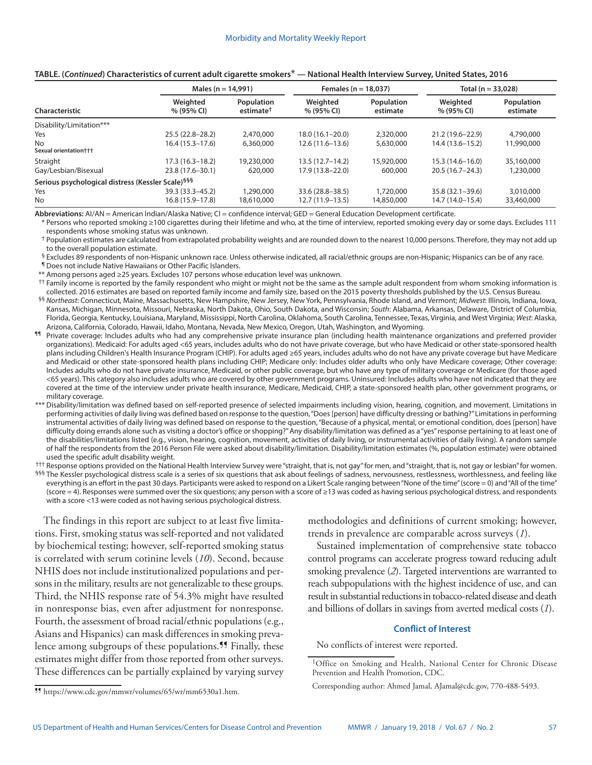| <b>Characteristic</b>                                         | Males ( $n = 14.991$ ) |                                     | Females ( $n = 18,037$ ) |                        | Total ( $n = 33,028$ ) |                        |
|---------------------------------------------------------------|------------------------|-------------------------------------|--------------------------|------------------------|------------------------|------------------------|
|                                                               | Weighted<br>% (95% CI) | Population<br>estimate <sup>†</sup> | Weighted<br>% (95% CI)   | Population<br>estimate | Weighted<br>% (95% CI) | Population<br>estimate |
| Disability/Limitation***                                      |                        |                                     |                          |                        |                        |                        |
| Yes                                                           | 25.5 (22.8-28.2)       | 2,470,000                           | $18.0(16.1-20.0)$        | 2,320,000              | 21.2 (19.6-22.9)       | 4,790,000              |
| No.<br>Sexual orientation+++                                  | $16.4(15.3-17.6)$      | 6,360,000                           | $12.6(11.6-13.6)$        | 5,630,000              | 14.4 (13.6–15.2)       | 11,990,000             |
| Straight                                                      | $17.3(16.3 - 18.2)$    | 19,230,000                          | $13.5(12.7 - 14.2)$      | 15,920,000             | $15.3(14.6 - 16.0)$    | 35,160,000             |
| Gay/Lesbian/Bisexual                                          | 23.8 (17.6–30.1)       | 620,000                             | $17.9(13.8 - 22.0)$      | 600,000                | $20.5(16.7-24.3)$      | 1,230,000              |
| Serious psychological distress (Kessler Scale) <sup>§§§</sup> |                        |                                     |                          |                        |                        |                        |
| Yes                                                           | 39.3 (33.3-45.2)       | 1,290,000                           | 33.6 (28.8–38.5)         | 1,720,000              | $35.8(32.1 - 39.6)$    | 3,010,000              |
| No                                                            | 16.8 (15.9-17.8)       | 18,610,000                          | 12.7 (11.9–13.5)         | 14,850,000             | 14.7 (14.0–15.4)       | 33,460,000             |

# **TABLE. (***Continued***) Characteristics of current adult cigarette smokers**\* **— National Health Interview Survey, United States, 2016**

**Abbreviations:** AI/AN = American Indian/Alaska Native; CI = confidence interval; GED = General Education Development certificate.

\* Persons who reported smoking ≥100 cigarettes during their lifetime and who, at the time of interview, reported smoking every day or some days. Excludes 111 respondents whose smoking status was unknown.

<sup>†</sup> Population estimates are calculated from extrapolated probability weights and are rounded down to the nearest 10,000 persons. Therefore, they may not add up to the overall population estimate.

§ Excludes 89 respondents of non-Hispanic unknown race. Unless otherwise indicated, all racial/ethnic groups are non-Hispanic; Hispanics can be of any race.

¶ Does not include Native Hawaiians or Other Pacific Islanders.

\*\* Among persons aged ≥25 years. Excludes 107 persons whose education level was unknown.

 $^{++}$  Family income is reported by the family respondent who might or might not be the same as the sample adult respondent from whom smoking information is collected. 2016 estimates are based on reported family income and family size, based on the 2015 poverty thresholds published by the U.S. Census Bureau.

§§ *Northeast*: Connecticut, Maine, Massachusetts, New Hampshire, New Jersey, New York, Pennsylvania, Rhode Island, and Vermont; *Midwest*: Illinois, Indiana, Iowa, Kansas, Michigan, Minnesota, Missouri, Nebraska, North Dakota, Ohio, South Dakota, and Wisconsin; *South*: Alabama, Arkansas, Delaware, District of Columbia, Florida, Georgia, Kentucky, Louisiana, Maryland, Mississippi, North Carolina, Oklahoma, South Carolina, Tennessee, Texas, Virginia, and West Virginia; *West*: Alaska, Arizona, California, Colorado, Hawaii, Idaho, Montana, Nevada, New Mexico, Oregon, Utah, Washington, and Wyoming.

¶¶ Private coverage: Includes adults who had any comprehensive private insurance plan (including health maintenance organizations and preferred provider organizations). Medicaid: For adults aged <65 years, includes adults who do not have private coverage, but who have Medicaid or other state-sponsored health plans including Children's Health Insurance Program (CHIP). For adults aged ≥65 years, includes adults who do not have any private coverage but have Medicare and Medicaid or other state-sponsored health plans including CHIP; Medicare only: Includes older adults who only have Medicare coverage; Other coverage: Includes adults who do not have private insurance, Medicaid, or other public coverage, but who have any type of military coverage or Medicare (for those aged <65 years). This category also includes adults who are covered by other government programs. Uninsured: Includes adults who have not indicated that they are covered at the time of the interview under private health insurance, Medicare, Medicaid, CHIP, a state-sponsored health plan, other government programs, or military coverage.

\*\*\* Disability/limitation was defined based on self-reported presence of selected impairments including vision, hearing, cognition, and movement. Limitations in performing activities of daily living was defined based on response to the question, "Does [person] have difficulty dressing or bathing?" Limitations in performing instrumental activities of daily living was defined based on response to the question, "Because of a physical, mental, or emotional condition, does [person] have difficulty doing errands alone such as visiting a doctor's office or shopping?" Any disability/limitation was defined as a "yes" response pertaining to at least one of the disabilities/limitations listed (e.g., vision, hearing, cognition, movement, activities of daily living, or instrumental activities of daily living). A random sample of half the respondents from the 2016 Person File were asked about disability/limitation. Disability/limitation estimates (%, population estimate) were obtained used the specific adult disability weight.

††† Response options provided on the National Health Interview Survey were "straight, that is, not gay" for men, and "straight, that is, not gay or lesbian" for women.

§§§ The Kessler psychological distress scale is a series of six questions that ask about feelings of sadness, nervousness, restlessness, worthlessness, and feeling like everything is an effort in the past 30 days. Participants were asked to respond on a Likert Scale ranging between "None of the time" (score = 0) and "All of the time" (score = 4). Responses were summed over the six questions; any person with a score of ≥13 was coded as having serious psychological distress, and respondents with a score <13 were coded as not having serious psychological distress.

The findings in this report are subject to at least five limitations. First, smoking status was self-reported and not validated by biochemical testing; however, self-reported smoking status is correlated with serum cotinine levels (*10*). Second, because NHIS does not include institutionalized populations and persons in the military, results are not generalizable to these groups. Third, the NHIS response rate of 54.3% might have resulted in nonresponse bias, even after adjustment for nonresponse. Fourth, the assessment of broad racial/ethnic populations (e.g., Asians and Hispanics) can mask differences in smoking prevalence among subgroups of these populations.<sup>99</sup> Finally, these estimates might differ from those reported from other surveys. These differences can be partially explained by varying survey methodologies and definitions of current smoking; however, trends in prevalence are comparable across surveys (*1*).

Sustained implementation of comprehensive state tobacco control programs can accelerate progress toward reducing adult smoking prevalence (*2*). Targeted interventions are warranted to reach subpopulations with the highest incidence of use, and can result in substantial reductions in tobacco-related disease and death and billions of dollars in savings from averted medical costs (*1*).

# **Conflict of Interest**

No conflicts of interest were reported.

<sup>&</sup>lt;sup>1</sup>Office on Smoking and Health, National Center for Chronic Disease Prevention and Health Promotion, CDC.

Corresponding author: Ahmed Jamal, [AJamal@cdc.gov,](mailto:AJamal@cdc.gov) 770-488-5493.

<sup>¶¶</sup> [https://www.cdc.gov/mmwr/volumes/65/wr/mm6530a1.htm.](https://www.cdc.gov/mmwr/volumes/65/wr/mm6530a1.htm)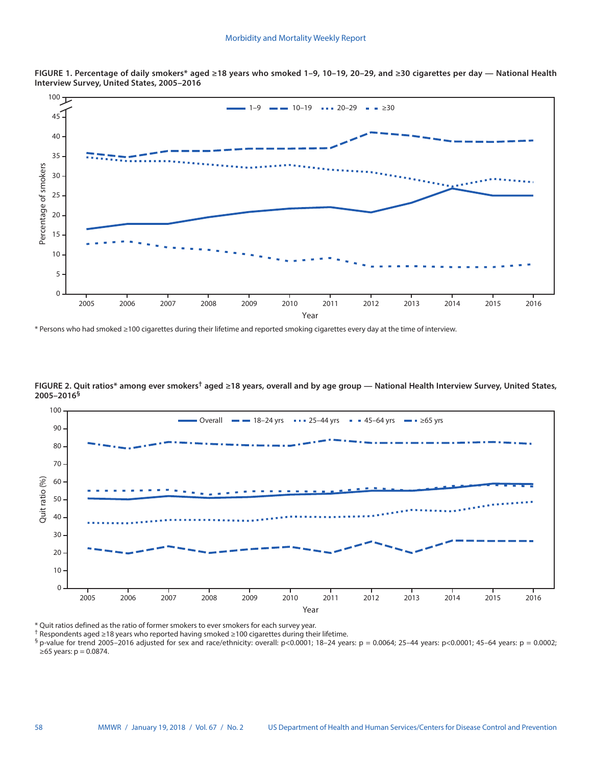

**FIGURE 1. Percentage of daily smokers\* aged ≥18 years who smoked 1–9, 10–19, 20–29, and ≥30 cigarettes per day — National Health Interview Survey, United States, 2005–2016**

\* Persons who had smoked ≥100 cigarettes during their lifetime and reported smoking cigarettes every day at the time of interview.



**FIGURE 2. Quit ratios\* among ever smokers† aged ≥18 years, overall and by age group — National Health Interview Survey, United States, 2005–2016§**

\* Quit ratios defined as the ratio of former smokers to ever smokers for each survey year.

† Respondents aged ≥18 years who reported having smoked ≥100 cigarettes during their lifetime.

 ${}^{\$}$  p-value for trend 2005–2016 adjusted for sex and race/ethnicity: overall: p<0.0001; 18–24 years: p = 0.0064; 25–44 years: p<0.0001; 45–64 years: p = 0.0002; ≥65 years: p = 0.0874.